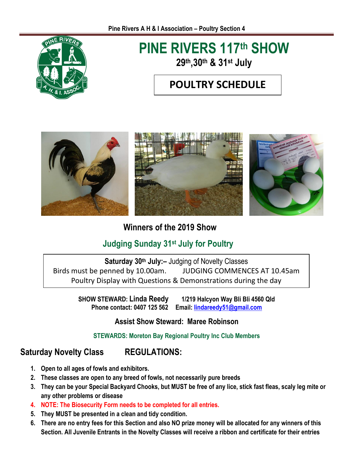

# **PINE RIVERS 117 th SHOW 29th,30th & 31st July**

### **POULTRY SCHEDULE**



**Winners of the 2019 Show** 

### **Judging Sunday 31st July for Poultry**

**Saturday 30 th July:–** Judging of Novelty Classes Birds must be penned by 10.00am. JUDGING COMMENCES AT 10.45am Poultry Display with Questions & Demonstrations during the day

> **SHOW STEWARD: Linda Reedy 1/219 Halcyon Way Bli Bli 4560 Qld Phone contact: 0407 125 562 Email: [lindareedy51@gmail.com](mailto:lindareedy51@gmail.com)**

### **Assist Show Steward: Maree Robinson**

#### **STEWARDS: Moreton Bay Regional Poultry Inc Club Members**

### **Saturday Novelty Class REGULATIONS:**

- **1. Open to all ages of fowls and exhibitors.**
- **2. These classes are open to any breed of fowls, not necessarily pure breeds**
- **3. They can be your Special Backyard Chooks, but MUST be free of any lice, stick fast fleas, scaly leg mite or any other problems or disease**
- **4. NOTE: The Biosecurity Form needs to be completed for all entries.**
- **5. They MUST be presented in a clean and tidy condition.**
- **6. There are no entry fees for this Section and also NO prize money will be allocated for any winners of this Section. All Juvenile Entrants in the Novelty Classes will receive a ribbon and certificate for their entries**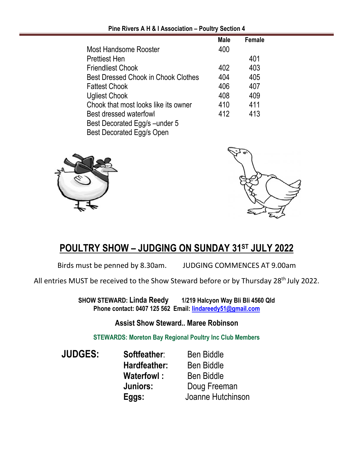|                                      | <b>Male</b> | Female |  |
|--------------------------------------|-------------|--------|--|
| Most Handsome Rooster                | 400         |        |  |
| <b>Prettiest Hen</b>                 |             | 401    |  |
| <b>Friendliest Chook</b>             | 402         | 403    |  |
| Best Dressed Chook in Chook Clothes  | 404         | 405    |  |
| <b>Fattest Chook</b>                 | 406         | 407    |  |
| <b>Ugliest Chook</b>                 | 408         | 409    |  |
| Chook that most looks like its owner | 410         | 411    |  |
| Best dressed waterfowl               | 412         | 413    |  |
| Best Decorated Egg/s - under 5       |             |        |  |
| <b>Best Decorated Egg/s Open</b>     |             |        |  |

**Pine Rivers A H & I Association – Poultry Section 4**





### **POULTRY SHOW – JUDGING ON SUNDAY 31ST JULY 2022**

Birds must be penned by 8.30am. JUDGING COMMENCES AT 9.00am

All entries MUST be received to the Show Steward before or by Thursday 28<sup>th</sup> July 2022.

**SHOW STEWARD: Linda Reedy 1/219 Halcyon Way Bli Bli 4560 Qld Phone contact: 0407 125 562 Email: [lindareedy51@gmail.com](mailto:lindareedy51@gmail.com)**

**Assist Show Steward.. Maree Robinson**

**STEWARDS: Moreton Bay Regional Poultry Inc Club Members**

**JUDGES: Softfeather:** Ben Biddle **Hardfeather:** Ben Biddle **Waterfowl:** Ben Biddle **Juniors:** Doug Freeman **Eggs:** Joanne Hutchinson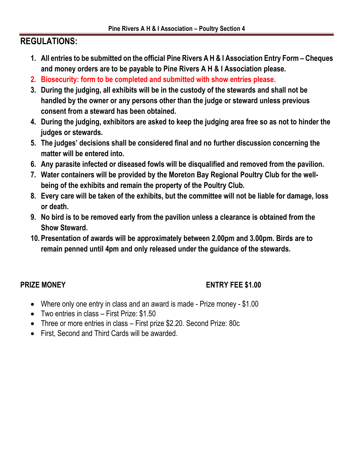### **REGULATIONS:**

- **1. All entries to be submitted on the official Pine Rivers A H & I Association Entry Form – Cheques and money orders are to be payable to Pine Rivers A H & I Association please.**
- **2. Biosecurity: form to be completed and submitted with show entries please.**
- **3. During the judging, all exhibits will be in the custody of the stewards and shall not be handled by the owner or any persons other than the judge or steward unless previous consent from a steward has been obtained.**
- **4. During the judging, exhibitors are asked to keep the judging area free so as not to hinder the judges or stewards.**
- **5. The judges' decisions shall be considered final and no further discussion concerning the matter will be entered into.**
- **6. Any parasite infected or diseased fowls will be disqualified and removed from the pavilion.**
- **7. Water containers will be provided by the Moreton Bay Regional Poultry Club for the wellbeing of the exhibits and remain the property of the Poultry Club.**
- **8. Every care will be taken of the exhibits, but the committee will not be liable for damage, loss or death.**
- **9. No bird is to be removed early from the pavilion unless a clearance is obtained from the Show Steward.**
- **10. Presentation of awards will be approximately between 2.00pm and 3.00pm. Birds are to remain penned until 4pm and only released under the guidance of the stewards.**

### **PRIZE MONEY ENTRY FEE \$1.00**

- Where only one entry in class and an award is made Prize money \$1.00
- Two entries in class First Prize: \$1.50
- Three or more entries in class First prize \$2.20. Second Prize: 80c
- First, Second and Third Cards will be awarded.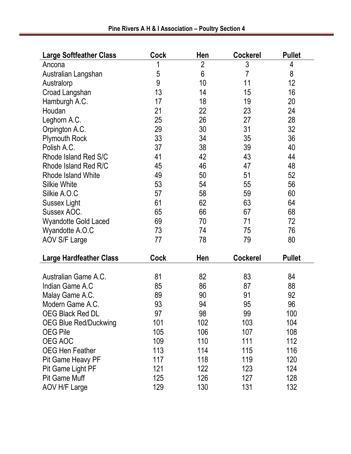| <b>Large Softfeather Class</b> | <b>Cock</b> | Hen            | <b>Cockerel</b> | <b>Pullet</b> |
|--------------------------------|-------------|----------------|-----------------|---------------|
| Ancona                         |             | $\overline{2}$ | 3               | 4             |
| Australian Langshan            | 5           | $6\phantom{a}$ | $\overline{7}$  | 8             |
| Australorp                     | 9           | 10             | 11              | 12            |
| Croad Langshan                 | 13          | 14             | 15              | 16            |
| Hamburgh A.C.                  | 17          | 18             | 19              | 20            |
| Houdan                         | 21          | 22             | 23              | 24            |
| Leghorn A.C.                   | 25          | 26             | 27              | 28            |
| Orpington A.C.                 | 29          | 30             | 31              | 32            |
| <b>Plymouth Rock</b>           | 33          | 34             | 35              | 36            |
| Polish A.C.                    | 37          | 38             | 39              | 40            |
| Rhode Island Red S/C           | 41          | 42             | 43              | 44            |
| Rhode Island Red R/C           | 45          | 46             | 47              | 48            |
| <b>Rhode Island White</b>      | 49          | 50             | 51              | 52            |
| <b>Silkie White</b>            | 53          | 54             | 55              | 56            |
| Silkie A.O.C                   | 57          | 58             | 59              | 60            |
| <b>Sussex Light</b>            | 61          | 62             | 63              | 64            |
| Sussex AOC.                    | 65          | 66             | 67              | 68            |
| <b>Wyandotte Gold Laced</b>    | 69          | 70             | 71              | 72            |
| Wyandotte A.O.C                | 73          | 74             | 75              | 76            |
| <b>AOV S/F Large</b>           | 77          | 78             | 79              | 80            |
| <b>Large Hardfeather Class</b> | <b>Cock</b> | Hen            | <b>Cockerel</b> | <b>Pullet</b> |
| Australian Game A.C.           | 81          | 82             | 83              | 84            |
| Indian Game A.C                | 85          | 86             | 87              | 88            |
| Malay Game A.C.                | 89          | 90             | 91              | 92            |
| Modern Game A.C.               | 93          | 94             | 95              | 96            |
| <b>OEG Black Red DL</b>        | 97          | 98             | 99              | 100           |
| <b>OEG Blue Red/Duckwing</b>   | 101         | 102            | 103             | 104           |
| <b>OEG Pile</b>                | 105         | 106            | 107             | 108           |
| OEG AOC                        | 109         | 110            | 111             | 112           |
| <b>OEG Hen Feather</b>         | 113         | 114            | 115             | 116           |
| Pit Game Heavy PF              | 117         | 118            | 119             | 120           |
| <b>Pit Game Light PF</b>       | 121         | 122            | 123             | 124           |
| <b>Pit Game Muff</b>           | 125         | 126            | 127             | 128           |
| AOV H/F Large                  | 129         | 130            | 131             | 132           |

**Pine Rivers A H & I Association – Poultry Section 4**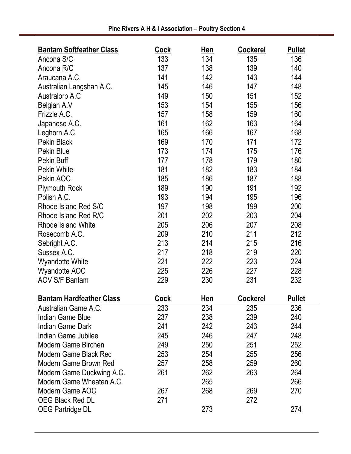| <b>Bantam Softfeather Class</b> | <b>Cock</b> | Hen | <b>Cockerel</b> | <b>Pullet</b> |
|---------------------------------|-------------|-----|-----------------|---------------|
| Ancona S/C                      | 133         | 134 | 135             | 136           |
| Ancona R/C                      | 137         | 138 | 139             | 140           |
| Araucana A.C.                   | 141         | 142 | 143             | 144           |
| Australian Langshan A.C.        | 145         | 146 | 147             | 148           |
| Australorp A.C                  | 149         | 150 | 151             | 152           |
| Belgian A.V                     | 153         | 154 | 155             | 156           |
| Frizzle A.C.                    | 157         | 158 | 159             | 160           |
| Japanese A.C.                   | 161         | 162 | 163             | 164           |
| Leghorn A.C.                    | 165         | 166 | 167             | 168           |
| Pekin Black                     | 169         | 170 | 171             | 172           |
| Pekin Blue                      | 173         | 174 | 175             | 176           |
| Pekin Buff                      | 177         | 178 | 179             | 180           |
| <b>Pekin White</b>              | 181         | 182 | 183             | 184           |
| Pekin AOC                       | 185         | 186 | 187             | 188           |
| <b>Plymouth Rock</b>            | 189         | 190 | 191             | 192           |
| Polish A.C.                     | 193         | 194 | 195             | 196           |
| Rhode Island Red S/C            | 197         | 198 | 199             | 200           |
| Rhode Island Red R/C            | 201         | 202 | 203             | 204           |
| <b>Rhode Island White</b>       | 205         | 206 | 207             | 208           |
| Rosecomb A.C.                   | 209         | 210 | 211             | 212           |
| Sebright A.C.                   | 213         | 214 | 215             | 216           |
| Sussex A.C.                     | 217         | 218 | 219             | 220           |
| <b>Wyandotte White</b>          | 221         | 222 | 223             | 224           |
| <b>Wyandotte AOC</b>            | 225         | 226 | 227             | 228           |
| <b>AOV S/F Bantam</b>           | 229         | 230 | 231             | 232           |
|                                 |             |     |                 |               |
| <b>Bantam Hardfeather Class</b> | Cock        | Hen | <b>Cockerel</b> | <b>Pullet</b> |
| Australian Game A.C.            | 233         | 234 | 235             | 236           |
| <b>Indian Game Blue</b>         | 237         | 238 | 239             | 240           |
| Indian Game Dark                | 241         | 242 | 243             | 244           |
| Indian Game Jubilee             | 245         | 246 | 247             | 248           |
| Modern Game Birchen             | 249         | 250 | 251             | 252           |
| Modern Game Black Red           | 253         | 254 | 255             | 256           |
| Modern Game Brown Red           | 257         | 258 | 259             | 260           |
| Modern Game Duckwing A.C.       | 261         | 262 | 263             | 264           |
| Modern Game Wheaten A.C.        |             | 265 |                 | 266           |
| Modern Game AOC                 | 267         | 268 | 269             | 270           |
| OEG Black Red DL                | 271         |     | 272             |               |
| <b>OEG Partridge DL</b>         |             | 273 |                 | 274           |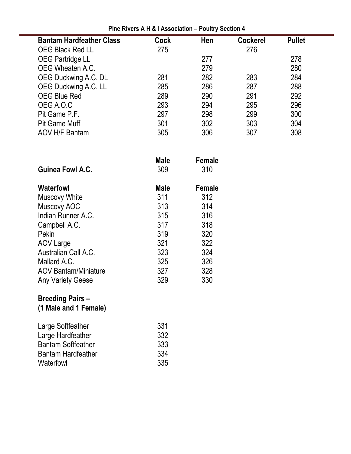| <b>Bantam Hardfeather Class</b> | <b>Cock</b> | Hen           | <b>Cockerel</b> | <b>Pullet</b> |
|---------------------------------|-------------|---------------|-----------------|---------------|
| <b>OEG Black Red LL</b>         | 275         |               | 276             |               |
| <b>OEG Partridge LL</b>         |             | 277           |                 | 278           |
| OEG Wheaten A.C.                |             | 279           |                 | 280           |
| OEG Duckwing A.C. DL            | 281         | 282           | 283             | 284           |
| <b>OEG Duckwing A.C. LL</b>     | 285         | 286           | 287             | 288           |
| <b>OEG Blue Red</b>             | 289         | 290           | 291             | 292           |
| OEG A.O.C                       | 293         | 294           | 295             | 296           |
| Pit Game P.F.                   | 297         | 298           | 299             | 300           |
| <b>Pit Game Muff</b>            | 301         | 302           | 303             | 304           |
| <b>AOV H/F Bantam</b>           | 305         | 306           | 307             | 308           |
|                                 |             |               |                 |               |
|                                 | <b>Male</b> | <b>Female</b> |                 |               |
| <b>Guinea Fowl A.C.</b>         | 309         | 310           |                 |               |
| <b>Waterfowl</b>                | <b>Male</b> | <b>Female</b> |                 |               |
| <b>Muscovy White</b>            | 311         | 312           |                 |               |
| Muscovy AOC                     | 313         | 314           |                 |               |
| Indian Runner A.C.              | 315         | 316           |                 |               |
| Campbell A.C.                   | 317         | 318           |                 |               |
| Pekin                           | 319         | 320           |                 |               |

**Pine Rivers A H & I Association – Poultry Section 4**

| <b>Breeding Pairs -</b> |  |
|-------------------------|--|
|                         |  |

Any Variety Geese

**(1 Male and 1 Female)**

| Large Softfeather         | 331 |
|---------------------------|-----|
| Large Hardfeather         | 332 |
| <b>Bantam Softfeather</b> | 333 |
| <b>Bantam Hardfeather</b> | 334 |
| Waterfowl                 | 335 |

Mallard A.C. 325

AOV Large 321 322

Australian Call A.C. 323 324<br>Mallard A.C. 325 326

AOV Bantam/Miniature 327 328<br>
Any Variety Geese 329 330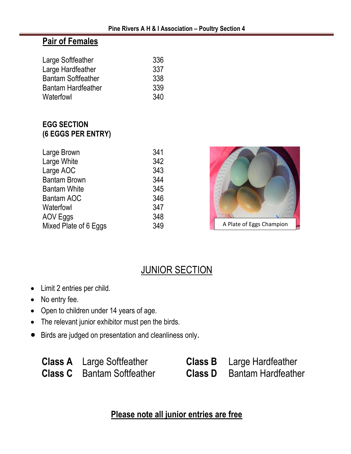### **Pair of Females**

| 336 |
|-----|
| 337 |
| 338 |
| 339 |
| 340 |
|     |

### **EGG SECTION (6 EGGS PER ENTRY)**

| Large Brown           | 341 |
|-----------------------|-----|
| Large White           | 342 |
| Large AOC             | 343 |
| <b>Bantam Brown</b>   | 344 |
| <b>Bantam White</b>   | 345 |
| <b>Bantam AOC</b>     | 346 |
| Waterfowl             | 347 |
| AOV Eggs              | 348 |
| Mixed Plate of 6 Eggs | 349 |



### **JUNIOR SECTION**

- Limit 2 entries per child.
- No entry fee.
- Open to children under 14 years of age.
- The relevant junior exhibitor must pen the birds.
- Birds are judged on presentation and cleanliness only.

| <b>Class A</b> Large Softfeather  | <b>Class B</b> Large Hardfeather  |
|-----------------------------------|-----------------------------------|
| <b>Class C</b> Bantam Softfeather | <b>Class D</b> Bantam Hardfeather |

**Please note all junior entries are free**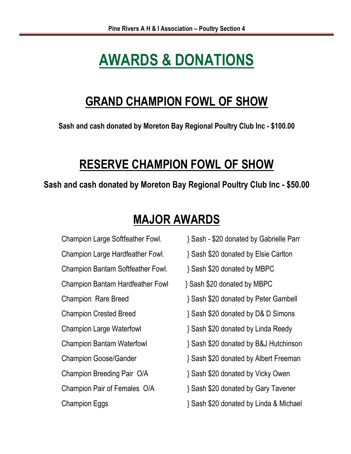# **AWARDS & DONATIONS**

# **GRAND CHAMPION FOWL OF SHOW**

**Sash and cash donated by Moreton Bay Regional Poultry Club Inc - \$100.00**

# **RESERVE CHAMPION FOWL OF SHOW**

**Sash and cash donated by Moreton Bay Regional Poultry Club Inc - \$50.00**

# **MAJOR AWARDS**

- Champion Bantam Softfeather Fowl. } Sash \$20 donated by MBPC Champion Bantam Hardfeather Fowl } Sash \$20 donated by MBPC Champion Breeding Pair O/A <br> 3 Sash \$20 donated by Vicky Owen
- Champion Large Softfeather Fowl. } Sash \$20 donated by Gabrielle Parr
- Champion Large Hardfeather Fowl. } Sash \$20 donated by Elsie Carlton
	-
	-
- Champion Rare Breed } Sash \$20 donated by Peter Gambell
- Champion Crested Breed } Sash \$20 donated by D& D Simons
- Champion Large Waterfowl } Sash \$20 donated by Linda Reedy
- Champion Bantam Waterfowl } Sash \$20 donated by B&J Hutchinson
- Champion Goose/Gander } Sash \$20 donated by Albert Freeman
	-
- Champion Pair of Females O/A  $\{$  Sash \$20 donated by Gary Tavener
- Champion Eggs } Sash \$20 donated by Linda & Michael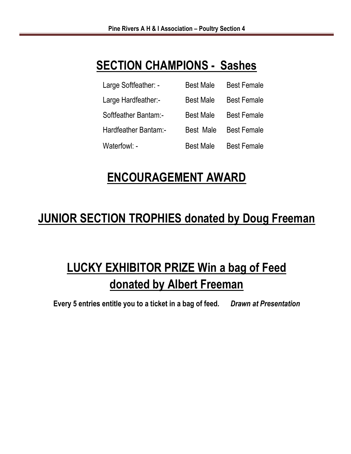# **SECTION CHAMPIONS - Sashes**

| Large Softfeather: - | <b>Best Male</b> | <b>Best Female</b> |
|----------------------|------------------|--------------------|
| Large Hardfeather:-  | <b>Best Male</b> | <b>Best Female</b> |
| Softfeather Bantam:- | <b>Best Male</b> | <b>Best Female</b> |
| Hardfeather Bantam:- | <b>Best Male</b> | <b>Best Female</b> |
| Waterfowl: -         | <b>Best Male</b> | <b>Best Female</b> |

# **ENCOURAGEMENT AWARD**

# **JUNIOR SECTION TROPHIES donated by Doug Freeman**

# **LUCKY EXHIBITOR PRIZE Win a bag of Feed donated by Albert Freeman**

**Every 5 entries entitle you to a ticket in a bag of feed***. Drawn at Presentation*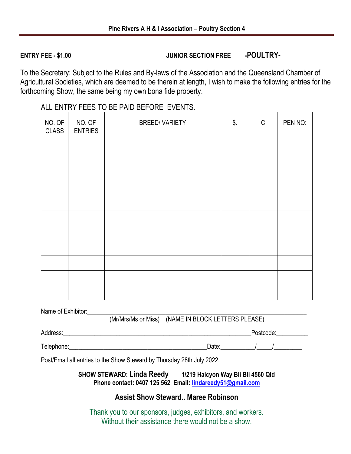#### **ENTRY FEE - \$1.00 JUNIOR SECTION FREE -POULTRY-**

To the Secretary: Subject to the Rules and By-laws of the Association and the Queensland Chamber of Agricultural Societies, which are deemed to be therein at length, I wish to make the following entries for the forthcoming Show, the same being my own bona fide property.

| NO. OF<br><b>CLASS</b> | NO. OF<br><b>ENTRIES</b> | <b>BREED/VARIETY</b> | \$. | $\mathbb{C}$ | PEN NO: |
|------------------------|--------------------------|----------------------|-----|--------------|---------|
|                        |                          |                      |     |              |         |
|                        |                          |                      |     |              |         |
|                        |                          |                      |     |              |         |
|                        |                          |                      |     |              |         |
|                        |                          |                      |     |              |         |
|                        |                          |                      |     |              |         |
|                        |                          |                      |     |              |         |
|                        |                          |                      |     |              |         |
|                        |                          |                      |     |              |         |
|                        |                          |                      |     |              |         |
|                        |                          |                      |     |              |         |

#### ALL ENTRY FEES TO BE PAID BEFORE EVENTS.

Name of Exhibitor:

(Mr/Mrs/Ms or Miss) (NAME IN BLOCK LETTERS PLEASE)

Address:\_\_\_\_\_\_\_\_\_\_\_\_\_\_\_\_\_\_\_\_\_\_\_\_\_\_\_\_\_\_\_\_\_\_\_\_\_\_\_\_\_\_\_\_\_\_\_\_\_\_\_\_\_\_\_\_\_\_\_\_Postcode:\_\_\_\_\_\_\_\_\_\_

Telephone: Telephone: Telephone: Telephone: Telephone: Telephone: Telephone: Telephone: Telephone: Telephone: Telephone: Telephone: Telephone: Telephone: Telephone: Telephone: Telephone: Telephone: Telephone: Telephone: Te

Post/Email all entries to the Show Steward by Thursday 28th July 2022.

**SHOW STEWARD: Linda Reedy 1/219 Halcyon Way Bli Bli 4560 Qld Phone contact: 0407 125 562 Email: [lindareedy51@gmail.com](mailto:lindareedy51@gmail.com)**

#### **Assist Show Steward.. Maree Robinson**

Thank you to our sponsors, judges, exhibitors, and workers. Without their assistance there would not be a show.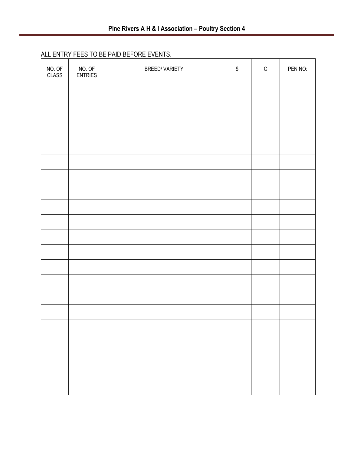#### ALL ENTRY FEES TO BE PAID BEFORE EVENTS.

| NO. OF<br><b>CLASS</b> | NO. OF<br><b>ENTRIES</b> | <b>BREED/VARIETY</b> | $\boldsymbol{\$}$ | $\mathsf C$ | PEN NO: |
|------------------------|--------------------------|----------------------|-------------------|-------------|---------|
|                        |                          |                      |                   |             |         |
|                        |                          |                      |                   |             |         |
|                        |                          |                      |                   |             |         |
|                        |                          |                      |                   |             |         |
|                        |                          |                      |                   |             |         |
|                        |                          |                      |                   |             |         |
|                        |                          |                      |                   |             |         |
|                        |                          |                      |                   |             |         |
|                        |                          |                      |                   |             |         |
|                        |                          |                      |                   |             |         |
|                        |                          |                      |                   |             |         |
|                        |                          |                      |                   |             |         |
|                        |                          |                      |                   |             |         |
|                        |                          |                      |                   |             |         |
|                        |                          |                      |                   |             |         |
|                        |                          |                      |                   |             |         |
|                        |                          |                      |                   |             |         |
|                        |                          |                      |                   |             |         |
|                        |                          |                      |                   |             |         |
|                        |                          |                      |                   |             |         |
|                        |                          |                      |                   |             |         |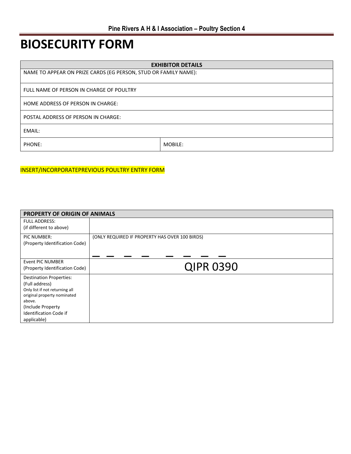# **BIOSECURITY FORM**

| <b>EXHIBITOR DETAILS</b>                                        |         |  |
|-----------------------------------------------------------------|---------|--|
| NAME TO APPEAR ON PRIZE CARDS (EG PERSON, STUD OR FAMILY NAME): |         |  |
|                                                                 |         |  |
| FULL NAME OF PERSON IN CHARGE OF POULTRY                        |         |  |
| HOME ADDRESS OF PERSON IN CHARGE:                               |         |  |
|                                                                 |         |  |
| POSTAL ADDRESS OF PERSON IN CHARGE:                             |         |  |
| EMAIL:                                                          |         |  |
| PHONE:                                                          | MOBILE: |  |

#### INSERT/INCORPORATEPREVIOUS POULTRY ENTRY FORM

| <b>PROPERTY OF ORIGIN OF ANIMALS</b>  |                                                |  |
|---------------------------------------|------------------------------------------------|--|
| <b>FULL ADDRESS:</b>                  |                                                |  |
| (if different to above)               |                                                |  |
| PIC NUMBER:                           | (ONLY REQUIRED IF PROPERTY HAS OVER 100 BIRDS) |  |
| (Property Identification Code)        |                                                |  |
|                                       |                                                |  |
| <b>Event PIC NUMBER</b>               |                                                |  |
| (Property Identification Code)        | <b>QIPR 0390</b>                               |  |
| <b>Destination Properties:</b>        |                                                |  |
| (Full address)                        |                                                |  |
| Only list if not returning all        |                                                |  |
| original property nominated<br>above. |                                                |  |
| (Include Property)                    |                                                |  |
| <b>Identification Code if</b>         |                                                |  |
| applicable)                           |                                                |  |